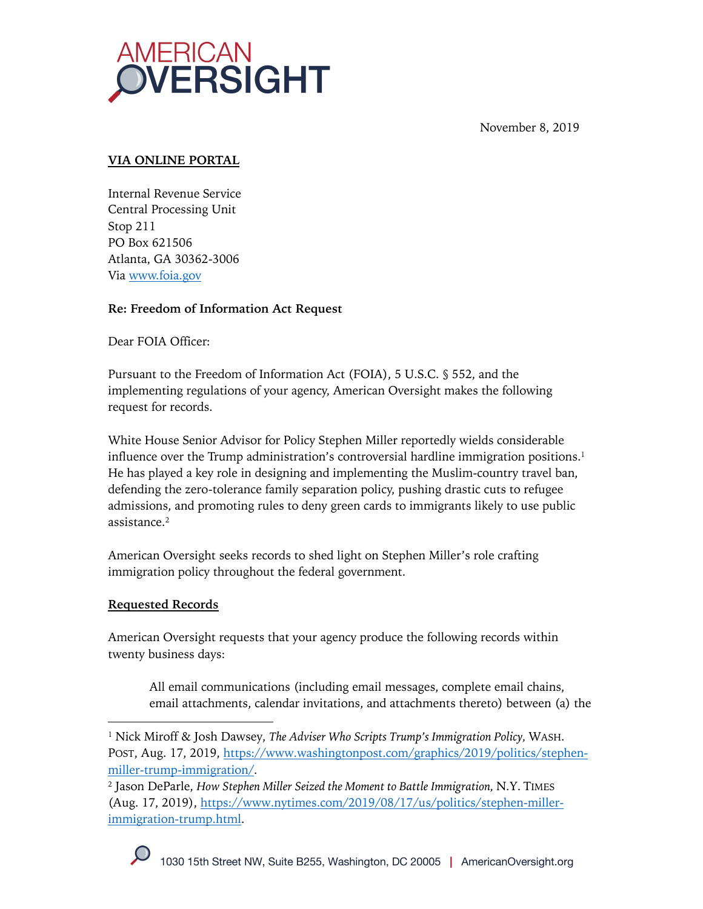

November 8, 2019

# **VIA ONLINE PORTAL**

Internal Revenue Service Central Processing Unit Stop 211 PO Box 621506 Atlanta, GA 30362-3006 Via www.foia.gov

## **Re: Freedom of Information Act Request**

Dear FOIA Officer:

Pursuant to the Freedom of Information Act (FOIA), 5 U.S.C. § 552, and the implementing regulations of your agency, American Oversight makes the following request for records.

White House Senior Advisor for Policy Stephen Miller reportedly wields considerable influence over the Trump administration's controversial hardline immigration positions.<sup>1</sup> He has played a key role in designing and implementing the Muslim-country travel ban, defending the zero-tolerance family separation policy, pushing drastic cuts to refugee admissions, and promoting rules to deny green cards to immigrants likely to use public assistance.2

American Oversight seeks records to shed light on Stephen Miller's role crafting immigration policy throughout the federal government.

## **Requested Records**

American Oversight requests that your agency produce the following records within twenty business days:

All email communications (including email messages, complete email chains, email attachments, calendar invitations, and attachments thereto) between (a) the

<sup>2</sup> Jason DeParle, *How Stephen Miller Seized the Moment to Battle Immigration,* N.Y. TIMES (Aug. 17, 2019), https://www.nytimes.com/2019/08/17/us/politics/stephen-millerimmigration-trump.html.



<sup>1</sup> Nick Miroff & Josh Dawsey, *The Adviser Who Scripts Trump's Immigration Policy,* WASH. POST, Aug. 17, 2019, https://www.washingtonpost.com/graphics/2019/politics/stephenmiller-trump-immigration/.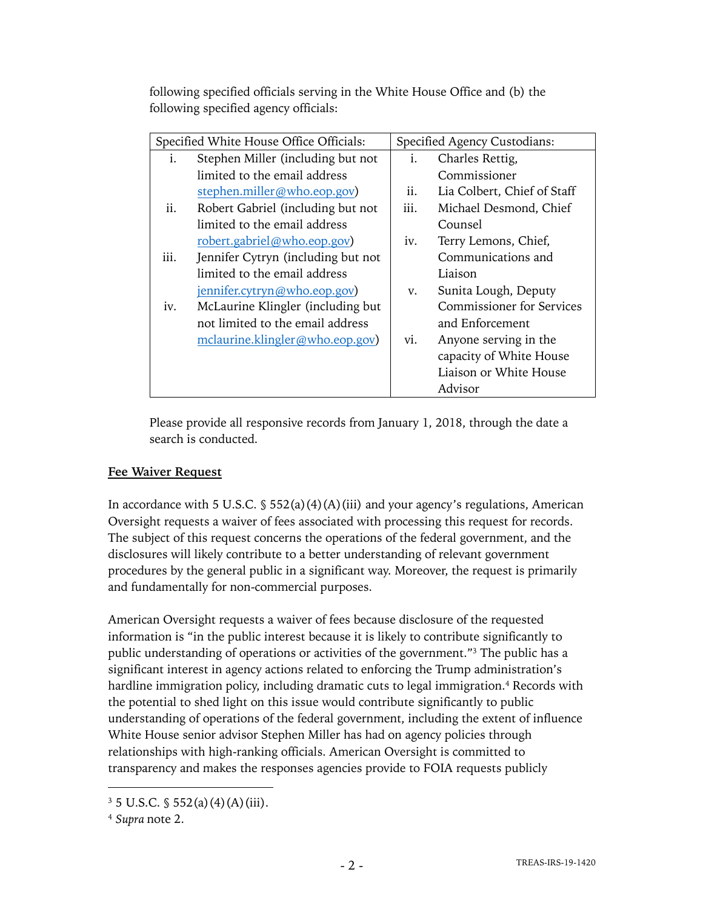following specified officials serving in the White House Office and (b) the following specified agency officials:

| Specified White House Office Officials: |                                    | Specified Agency Custodians: |                                  |
|-----------------------------------------|------------------------------------|------------------------------|----------------------------------|
| i.                                      | Stephen Miller (including but not  | i.                           | Charles Rettig,                  |
|                                         | limited to the email address       |                              | Commissioner                     |
|                                         | stephen.miller@who.eop.gov)        | ii.                          | Lia Colbert, Chief of Staff      |
| ii.                                     | Robert Gabriel (including but not  | iii.                         | Michael Desmond, Chief           |
|                                         | limited to the email address       |                              | Counsel                          |
|                                         | robert.gabriel@who.eop.gov)        | iv.                          | Terry Lemons, Chief,             |
| iii.                                    | Jennifer Cytryn (including but not |                              | Communications and               |
|                                         | limited to the email address       |                              | Liaison                          |
|                                         | jennifer.cytryn@who.eop.gov)       | V.                           | Sunita Lough, Deputy             |
| iv.                                     | McLaurine Klingler (including but  |                              | <b>Commissioner for Services</b> |
|                                         | not limited to the email address   |                              | and Enforcement                  |
|                                         | mclaurine.klingler@who.eop.gov)    | vi.                          | Anyone serving in the            |
|                                         |                                    |                              | capacity of White House          |
|                                         |                                    |                              | Liaison or White House           |
|                                         |                                    |                              | Advisor                          |

Please provide all responsive records from January 1, 2018, through the date a search is conducted.

## **Fee Waiver Request**

In accordance with 5 U.S.C.  $\frac{1}{5}$  552(a)(4)(A)(iii) and your agency's regulations, American Oversight requests a waiver of fees associated with processing this request for records. The subject of this request concerns the operations of the federal government, and the disclosures will likely contribute to a better understanding of relevant government procedures by the general public in a significant way. Moreover, the request is primarily and fundamentally for non-commercial purposes.

American Oversight requests a waiver of fees because disclosure of the requested information is "in the public interest because it is likely to contribute significantly to public understanding of operations or activities of the government."3 The public has a significant interest in agency actions related to enforcing the Trump administration's hardline immigration policy, including dramatic cuts to legal immigration.<sup>4</sup> Records with the potential to shed light on this issue would contribute significantly to public understanding of operations of the federal government, including the extent of influence White House senior advisor Stephen Miller has had on agency policies through relationships with high-ranking officials. American Oversight is committed to transparency and makes the responses agencies provide to FOIA requests publicly

 $3\,5$  U.S.C. § 552(a)(4)(A)(iii).

<sup>4</sup> *Supra* note 2.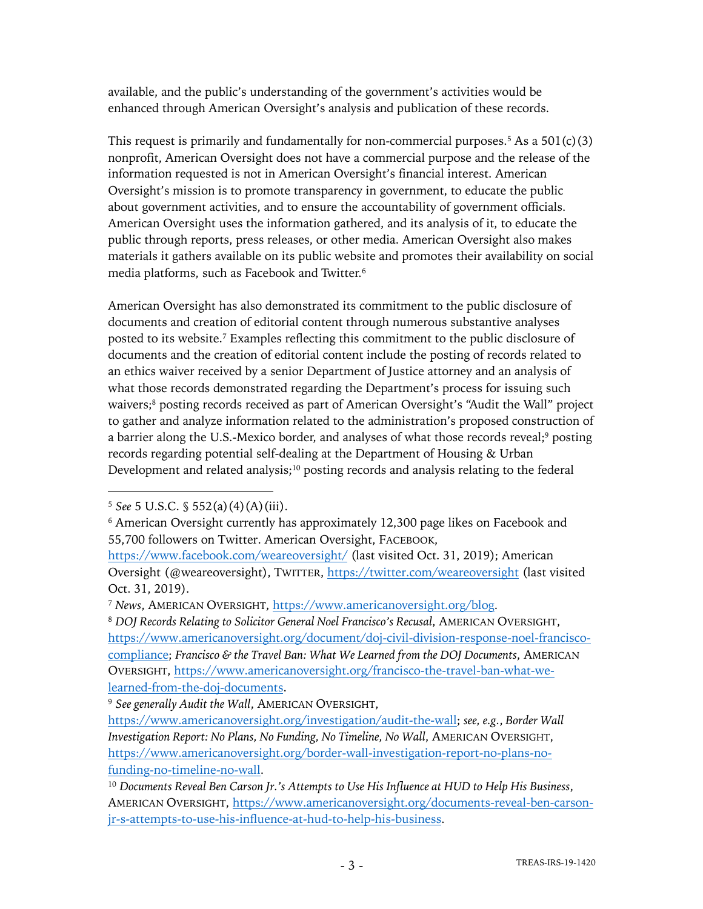available, and the public's understanding of the government's activities would be enhanced through American Oversight's analysis and publication of these records.

This request is primarily and fundamentally for non-commercial purposes.<sup>5</sup> As a  $501(c)(3)$ nonprofit, American Oversight does not have a commercial purpose and the release of the information requested is not in American Oversight's financial interest. American Oversight's mission is to promote transparency in government, to educate the public about government activities, and to ensure the accountability of government officials. American Oversight uses the information gathered, and its analysis of it, to educate the public through reports, press releases, or other media. American Oversight also makes materials it gathers available on its public website and promotes their availability on social media platforms, such as Facebook and Twitter.6

American Oversight has also demonstrated its commitment to the public disclosure of documents and creation of editorial content through numerous substantive analyses posted to its website. <sup>7</sup> Examples reflecting this commitment to the public disclosure of documents and the creation of editorial content include the posting of records related to an ethics waiver received by a senior Department of Justice attorney and an analysis of what those records demonstrated regarding the Department's process for issuing such waivers;<sup>8</sup> posting records received as part of American Oversight's "Audit the Wall" project to gather and analyze information related to the administration's proposed construction of a barrier along the U.S.-Mexico border, and analyses of what those records reveal;9 posting records regarding potential self-dealing at the Department of Housing & Urban Development and related analysis;<sup>10</sup> posting records and analysis relating to the federal

<sup>8</sup> *DOJ Records Relating to Solicitor General Noel Francisco's Recusal*, AMERICAN OVERSIGHT, https://www.americanoversight.org/document/doj-civil-division-response-noel-franciscocompliance; *Francisco & the Travel Ban: What We Learned from the DOJ Documents*, AMERICAN OVERSIGHT, https://www.americanoversight.org/francisco-the-travel-ban-what-welearned-from-the-doj-documents.

<sup>5</sup> *See* 5 U.S.C. § 552(a)(4)(A)(iii).

<sup>&</sup>lt;sup>6</sup> American Oversight currently has approximately 12,300 page likes on Facebook and 55,700 followers on Twitter. American Oversight, FACEBOOK,

https://www.facebook.com/weareoversight/ (last visited Oct. 31, 2019); American Oversight (@weareoversight), TWITTER, https://twitter.com/weareoversight (last visited Oct. 31, 2019).

<sup>7</sup> *News*, AMERICAN OVERSIGHT, https://www.americanoversight.org/blog.

<sup>9</sup> *See generally Audit the Wall*, AMERICAN OVERSIGHT,

https://www.americanoversight.org/investigation/audit-the-wall; *see, e.g.*, *Border Wall Investigation Report: No Plans, No Funding, No Timeline, No Wall*, AMERICAN OVERSIGHT, https://www.americanoversight.org/border-wall-investigation-report-no-plans-nofunding-no-timeline-no-wall.

<sup>10</sup> *Documents Reveal Ben Carson Jr.'s Attempts to Use His Influence at HUD to Help His Business*, AMERICAN OVERSIGHT, https://www.americanoversight.org/documents-reveal-ben-carsonjr-s-attempts-to-use-his-influence-at-hud-to-help-his-business.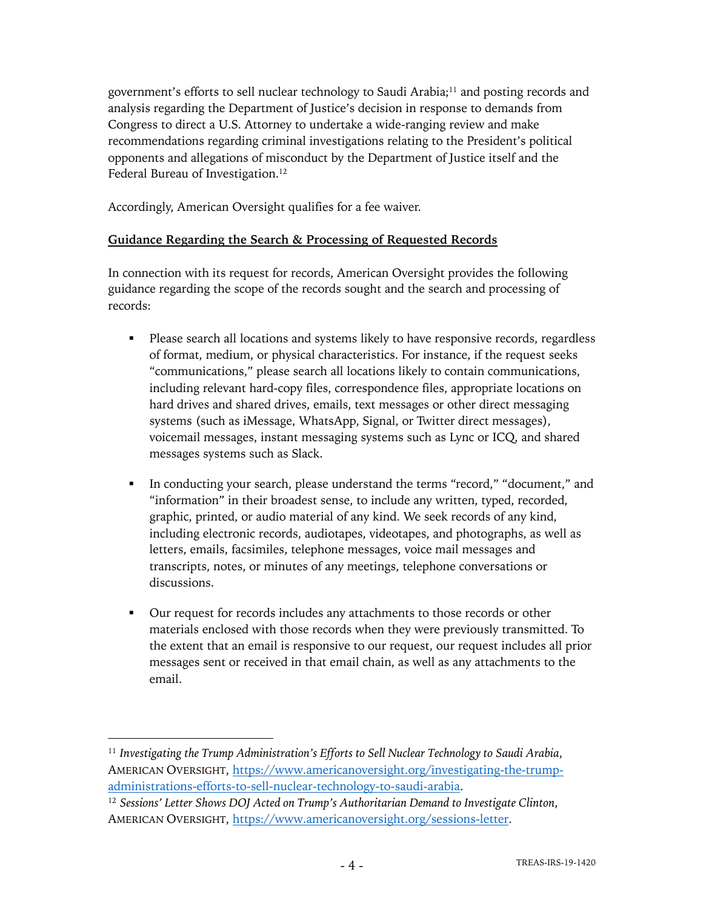government's efforts to sell nuclear technology to Saudi Arabia;11 and posting records and analysis regarding the Department of Justice's decision in response to demands from Congress to direct a U.S. Attorney to undertake a wide-ranging review and make recommendations regarding criminal investigations relating to the President's political opponents and allegations of misconduct by the Department of Justice itself and the Federal Bureau of Investigation.<sup>12</sup>

Accordingly, American Oversight qualifies for a fee waiver.

## **Guidance Regarding the Search & Processing of Requested Records**

In connection with its request for records, American Oversight provides the following guidance regarding the scope of the records sought and the search and processing of records:

- Please search all locations and systems likely to have responsive records, regardless of format, medium, or physical characteristics. For instance, if the request seeks "communications," please search all locations likely to contain communications, including relevant hard-copy files, correspondence files, appropriate locations on hard drives and shared drives, emails, text messages or other direct messaging systems (such as iMessage, WhatsApp, Signal, or Twitter direct messages), voicemail messages, instant messaging systems such as Lync or ICQ, and shared messages systems such as Slack.
- In conducting your search, please understand the terms "record," "document," and "information" in their broadest sense, to include any written, typed, recorded, graphic, printed, or audio material of any kind. We seek records of any kind, including electronic records, audiotapes, videotapes, and photographs, as well as letters, emails, facsimiles, telephone messages, voice mail messages and transcripts, notes, or minutes of any meetings, telephone conversations or discussions.
- Our request for records includes any attachments to those records or other materials enclosed with those records when they were previously transmitted. To the extent that an email is responsive to our request, our request includes all prior messages sent or received in that email chain, as well as any attachments to the email.

<sup>11</sup> *Investigating the Trump Administration's Efforts to Sell Nuclear Technology to Saudi Arabia*, AMERICAN OVERSIGHT, https://www.americanoversight.org/investigating-the-trumpadministrations-efforts-to-sell-nuclear-technology-to-saudi-arabia.

<sup>12</sup> *Sessions' Letter Shows DOJ Acted on Trump's Authoritarian Demand to Investigate Clinton*, AMERICAN OVERSIGHT, https://www.americanoversight.org/sessions-letter.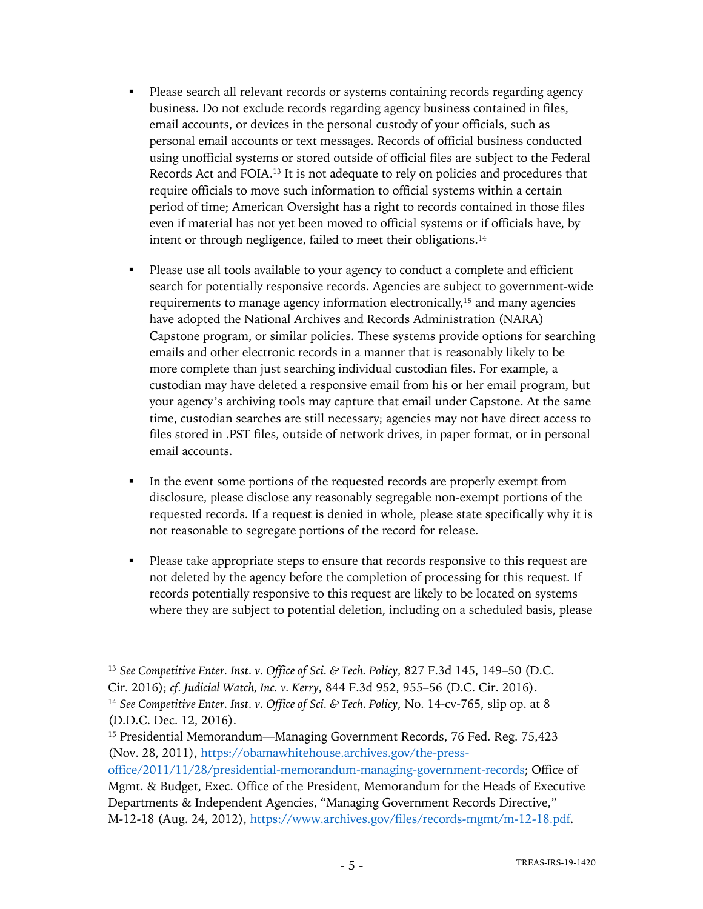- Please search all relevant records or systems containing records regarding agency business. Do not exclude records regarding agency business contained in files, email accounts, or devices in the personal custody of your officials, such as personal email accounts or text messages. Records of official business conducted using unofficial systems or stored outside of official files are subject to the Federal Records Act and FOIA.13 It is not adequate to rely on policies and procedures that require officials to move such information to official systems within a certain period of time; American Oversight has a right to records contained in those files even if material has not yet been moved to official systems or if officials have, by intent or through negligence, failed to meet their obligations.<sup>14</sup>
- Please use all tools available to your agency to conduct a complete and efficient search for potentially responsive records. Agencies are subject to government-wide requirements to manage agency information electronically,<sup>15</sup> and many agencies have adopted the National Archives and Records Administration (NARA) Capstone program, or similar policies. These systems provide options for searching emails and other electronic records in a manner that is reasonably likely to be more complete than just searching individual custodian files. For example, a custodian may have deleted a responsive email from his or her email program, but your agency's archiving tools may capture that email under Capstone. At the same time, custodian searches are still necessary; agencies may not have direct access to files stored in .PST files, outside of network drives, in paper format, or in personal email accounts.
- In the event some portions of the requested records are properly exempt from disclosure, please disclose any reasonably segregable non-exempt portions of the requested records. If a request is denied in whole, please state specifically why it is not reasonable to segregate portions of the record for release.
- Please take appropriate steps to ensure that records responsive to this request are not deleted by the agency before the completion of processing for this request. If records potentially responsive to this request are likely to be located on systems where they are subject to potential deletion, including on a scheduled basis, please

<sup>13</sup> *See Competitive Enter. Inst. v. Office of Sci. & Tech. Policy*, 827 F.3d 145, 149–50 (D.C. Cir. 2016); *cf. Judicial Watch, Inc. v. Kerry*, 844 F.3d 952, 955–56 (D.C. Cir. 2016). <sup>14</sup> *See Competitive Enter. Inst. v. Office of Sci. & Tech. Policy*, No. 14-cv-765, slip op. at 8 (D.D.C. Dec. 12, 2016).

<sup>15</sup> Presidential Memorandum—Managing Government Records, 76 Fed. Reg. 75,423 (Nov. 28, 2011), https://obamawhitehouse.archives.gov/the-press-

office/2011/11/28/presidential-memorandum-managing-government-records; Office of Mgmt. & Budget, Exec. Office of the President, Memorandum for the Heads of Executive Departments & Independent Agencies, "Managing Government Records Directive," M-12-18 (Aug. 24, 2012), https://www.archives.gov/files/records-mgmt/m-12-18.pdf.